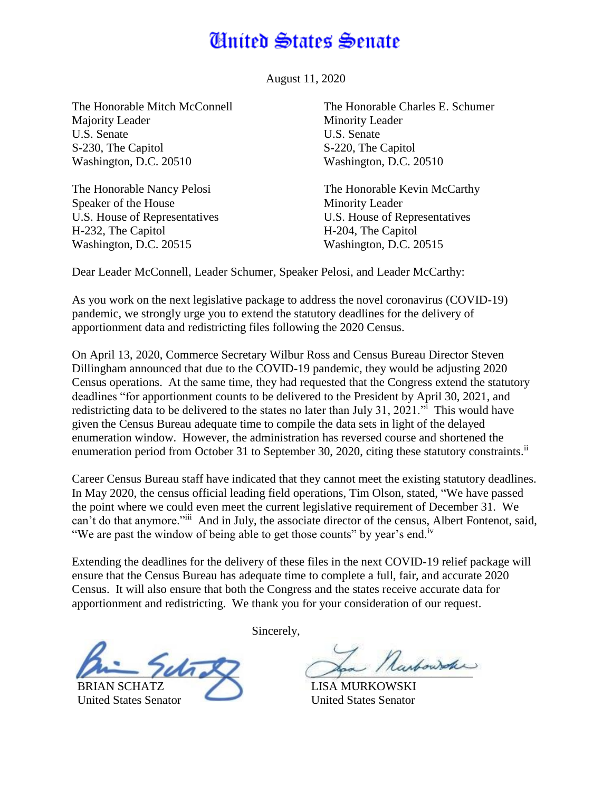## **Cinited States Senate**

August 11, 2020

The Honorable Mitch McConnell Majority Leader U.S. Senate S-230, The Capitol Washington, D.C. 20510

The Honorable Nancy Pelosi Speaker of the House U.S. House of Representatives H-232, The Capitol Washington, D.C. 20515

The Honorable Charles E. Schumer Minority Leader U.S. Senate S-220, The Capitol Washington, D.C. 20510

The Honorable Kevin McCarthy Minority Leader U.S. House of Representatives H-204, The Capitol Washington, D.C. 20515

Dear Leader McConnell, Leader Schumer, Speaker Pelosi, and Leader McCarthy:

As you work on the next legislative package to address the novel coronavirus (COVID-19) pandemic, we strongly urge you to extend the statutory deadlines for the delivery of apportionment data and redistricting files following the 2020 Census.

On April 13, 2020, Commerce Secretary Wilbur Ross and Census Bureau Director Steven Dillingham announced that due to the COVID-19 pandemic, they would be adjusting 2020 Census operations. At the same time, they had requested that the Congress extend the statutory deadlines "for apportionment counts to be delivered to the President by April 30, 2021, and redistricting data to be delivered to the states no later than July 31, 2021." This would have given the Census Bureau adequate time to compile the data sets in light of the delayed enumeration window. However, the administration has reversed course and shortened the enumeration period from October 31 to September 30, 2020, citing these statutory constraints.<sup>ii</sup>

Career Census Bureau staff have indicated that they cannot meet the existing statutory deadlines. In May 2020, the census official leading field operations, Tim Olson, stated, "We have passed the point where we could even meet the current legislative requirement of December 31. We can't do that anymore."iii And in July, the associate director of the census, Albert Fontenot, said, "We are past the window of being able to get those counts" by year's end.<sup>iv</sup>

Extending the deadlines for the delivery of these files in the next COVID-19 relief package will ensure that the Census Bureau has adequate time to complete a full, fair, and accurate 2020 Census. It will also ensure that both the Congress and the states receive accurate data for apportionment and redistricting. We thank you for your consideration of our request.



BRIAN SCHATZ United States Senator

Sincerely,

Ranbowsoke

LISA MURKOWSKI United States Senator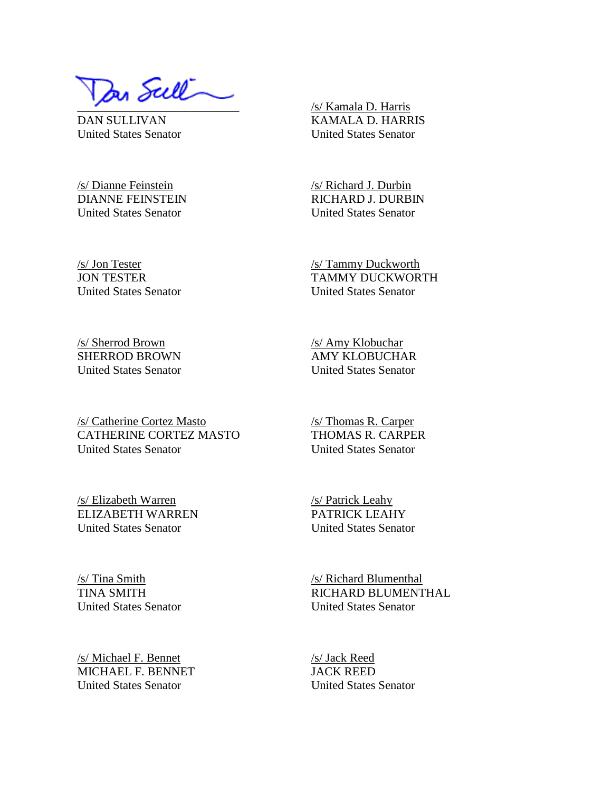١ In Sull

DAN SULLIVAN United States Senator

/s/ Dianne Feinstein DIANNE FEINSTEIN United States Senator

/s/ Kamala D. Harris KAMALA D. HARRIS United States Senator

/s/ Richard J. Durbin RICHARD J. DURBIN United States Senator

/s/ Tammy Duckworth TAMMY DUCKWORTH United States Senator

/s/ Jon Tester JON TESTER United States Senator

/s/ Sherrod Brown SHERROD BROWN United States Senator

/s/ Catherine Cortez Masto CATHERINE CORTEZ MASTO United States Senator

/s/ Amy Klobuchar AMY KLOBUCHAR United States Senator

/s/ Thomas R. Carper THOMAS R. CARPER United States Senator

/s/ Patrick Leahy

/s/ Elizabeth Warren ELIZABETH WARREN United States Senator

PATRICK LEAHY United States Senator

/s/ Tina Smith TINA SMITH United States Senator

/s/ Michael F. Bennet MICHAEL F. BENNET United States Senator

/s/ Richard Blumenthal RICHARD BLUMENTHAL United States Senator

/s/ Jack Reed JACK REED United States Senator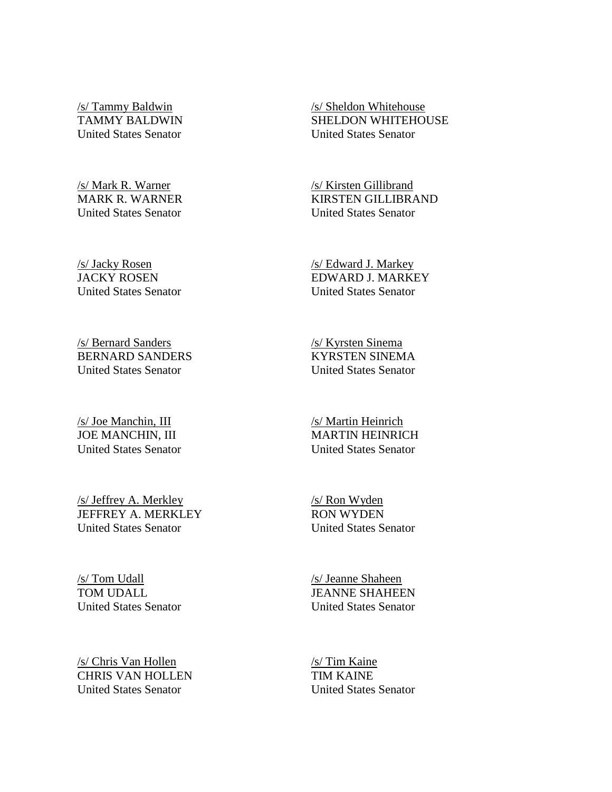/s/ Tammy Baldwin TAMMY BALDWIN United States Senator

/s/ Mark R. Warner MARK R. WARNER United States Senator

/s/ Jacky Rosen JACKY ROSEN United States Senator

/s/ Bernard Sanders BERNARD SANDERS United States Senator

/s/ Joe Manchin, III JOE MANCHIN, III United States Senator

/s/ Jeffrey A. Merkley JEFFREY A. MERKLEY United States Senator

/s/ Tom Udall TOM UDALL United States Senator

/s/ Chris Van Hollen CHRIS VAN HOLLEN United States Senator

/s/ Sheldon Whitehouse SHELDON WHITEHOUSE United States Senator

/s/ Kirsten Gillibrand KIRSTEN GILLIBRAND United States Senator

/s/ Edward J. Markey EDWARD J. MARKEY United States Senator

/s/ Kyrsten Sinema KYRSTEN SINEMA United States Senator

/s/ Martin Heinrich MARTIN HEINRICH United States Senator

/s/ Ron Wyden RON WYDEN United States Senator

/s/ Jeanne Shaheen JEANNE SHAHEEN United States Senator

/s/ Tim Kaine TIM KAINE United States Senator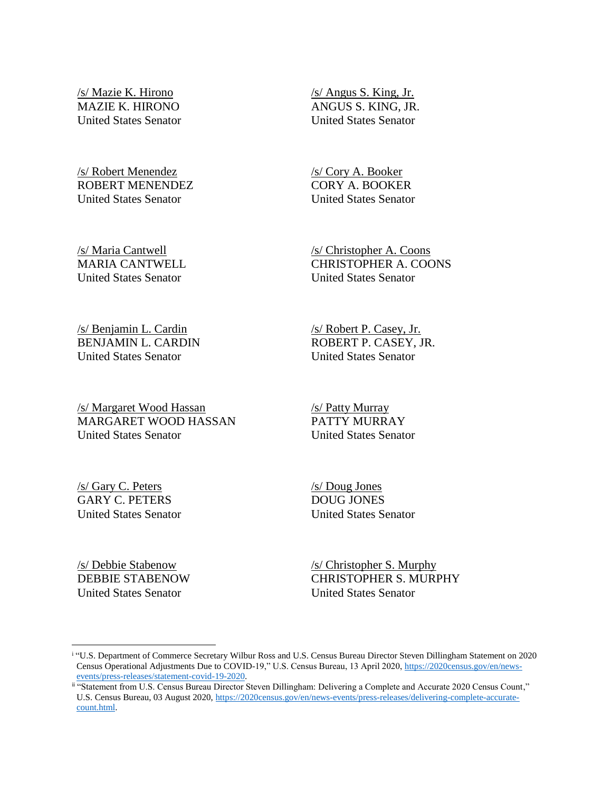/s/ Mazie K. Hirono MAZIE K. HIRONO United States Senator

/s/ Robert Menendez ROBERT MENENDEZ United States Senator

/s/ Maria Cantwell MARIA CANTWELL United States Senator

/s/ Angus S. King, Jr. ANGUS S. KING, JR. United States Senator

/s/ Cory A. Booker CORY A. BOOKER United States Senator

/s/ Christopher A. Coons CHRISTOPHER A. COONS United States Senator

/s/ Benjamin L. Cardin BENJAMIN L. CARDIN United States Senator

/s/ Margaret Wood Hassan MARGARET WOOD HASSAN United States Senator

/s/ Robert P. Casey, Jr. ROBERT P. CASEY, JR. United States Senator

/s/ Patty Murray PATTY MURRAY United States Senator

/s/ Gary C. Peters GARY C. PETERS United States Senator /s/ Doug Jones DOUG JONES United States Senator

/s/ Debbie Stabenow DEBBIE STABENOW United States Senator

 $\overline{a}$ 

/s/ Christopher S. Murphy CHRISTOPHER S. MURPHY United States Senator

i "U.S. Department of Commerce Secretary Wilbur Ross and U.S. Census Bureau Director Steven Dillingham Statement on 2020 Census Operational Adjustments Due to COVID-19," U.S. Census Bureau, 13 April 2020[, https://2020census.gov/en/news](https://2020census.gov/en/news-events/press-releases/statement-covid-19-2020)[events/press-releases/statement-covid-19-2020.](https://2020census.gov/en/news-events/press-releases/statement-covid-19-2020)

ii "Statement from U.S. Census Bureau Director Steven Dillingham: Delivering a Complete and Accurate 2020 Census Count," U.S. Census Bureau, 03 August 2020[, https://2020census.gov/en/news-events/press-releases/delivering-complete-accurate](https://2020census.gov/en/news-events/press-releases/delivering-complete-accurate-count.html)[count.html.](https://2020census.gov/en/news-events/press-releases/delivering-complete-accurate-count.html)